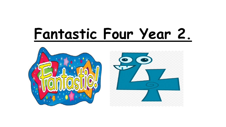## **Fantastic Four Year 2.**

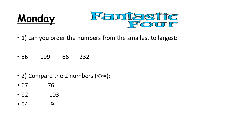



- 1) can you order the numbers from the smallest to largest:
- 56 109 66 232
- 2) Compare the 2 numbers (<>=):
- 67 76
- 92 103
- 54 9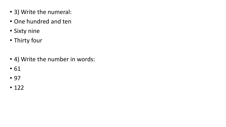- 3) Write the numeral:
- One hundred and ten
- Sixty nine
- Thirty four
- 4) Write the number in words:
- 61
- 97
- 122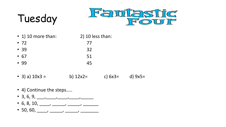## Tuesday



- 1) 10 more than: 2) 10 less than:
- 72 77 •  $39$  32
- $67$  51
- 99 45
- 3) a)  $10x3 =$  b)  $12x2=$  c)  $6x3=$  d)  $9x5=$
- 4) Continue the steps…..
- 3, 6, 9, \_\_\_, \_\_\_, \_\_\_, \_\_\_, \_\_\_, \_\_\_\_,
- 6, 8, 10, \_\_\_, \_\_\_, \_\_\_, \_\_\_, \_\_\_\_, \_\_\_\_\_
- 50, 60, \_\_\_\_, \_\_\_\_, \_\_\_\_, \_\_\_\_\_, \_\_\_\_\_\_\_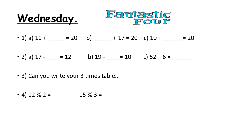



- 1) a)  $11 +$   $= 20$  b)  $+ 17 = 20$  c)  $10 +$   $= 20$
- 2) a)  $17 = 12$  b)  $19 = 10$  c)  $52 6 =$
- 3) Can you write your 3 times table..

• 4) 12 % 2 = 15 % 3 =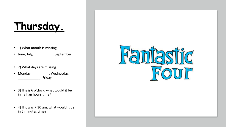## **Thursday.**

• 1) What month is missing...

• June, July, \_\_\_\_\_\_\_\_\_\_\_\_, September

- 2) What days are missing….
- Monday, \_\_\_\_\_\_\_\_\_, Wednesday, \_\_\_\_\_\_\_\_\_\_\_\_, Friday
- 3) If is is 6 o'clock, what would it be in half an hours time?
- 4) If it was 7.30 am, what would it be in 5 minutes time?